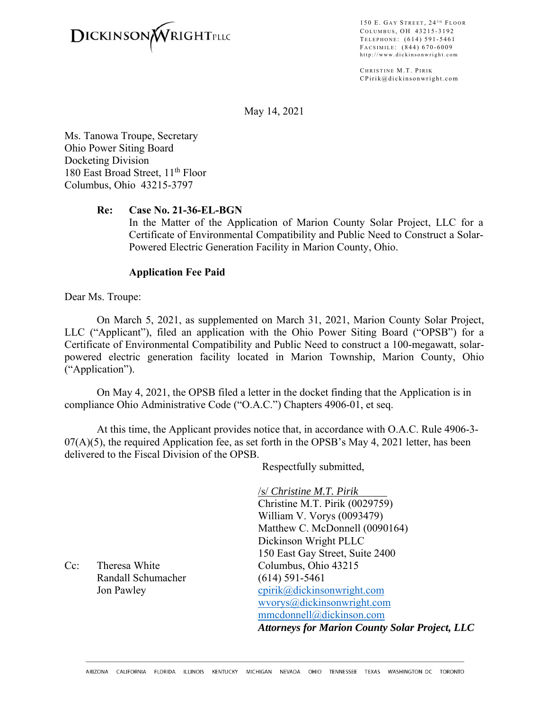

150 E. GAY STREET, 24<sup>TH</sup> FLOOR COLUMBUS, OH 43215-3192 TELEPHONE: (614) 591-5461 F ACSIMILE : (844) 670-6009 http://www.dickinsonwright.com

CHRISTINE M.T. PIRIK CPirik@dickinsonwright.com

May 14, 2021

Ms. Tanowa Troupe, Secretary Ohio Power Siting Board Docketing Division 180 East Broad Street, 11<sup>th</sup> Floor Columbus, Ohio 43215-3797

## **Re: Case No. 21-36-EL-BGN**

In the Matter of the Application of Marion County Solar Project, LLC for a Certificate of Environmental Compatibility and Public Need to Construct a Solar-Powered Electric Generation Facility in Marion County, Ohio.

## **Application Fee Paid**

Dear Ms. Troupe:

On March 5, 2021, as supplemented on March 31, 2021, Marion County Solar Project, LLC ("Applicant"), filed an application with the Ohio Power Siting Board ("OPSB") for a Certificate of Environmental Compatibility and Public Need to construct a 100-megawatt, solarpowered electric generation facility located in Marion Township, Marion County, Ohio ("Application").

On May 4, 2021, the OPSB filed a letter in the docket finding that the Application is in compliance Ohio Administrative Code ("O.A.C.") Chapters 4906-01, et seq.

At this time, the Applicant provides notice that, in accordance with O.A.C. Rule 4906-3-  $07(A)(5)$ , the required Application fee, as set forth in the OPSB's May 4, 2021 letter, has been delivered to the Fiscal Division of the OPSB.

Respectfully submitted,

/s/ *Christine M.T. Pirik*  Christine M.T. Pirik (0029759) William V. Vorys (0093479) Matthew C. McDonnell (0090164) Dickinson Wright PLLC 150 East Gay Street, Suite 2400 Cc: Theresa White Columbus, Ohio 43215 Jon Pawley cpirik@dickinsonwright.com wvorys@dickinsonwright.com mmcdonnell@dickinson.com *Attorneys for Marion County Solar Project, LLC* 

Randall Schumacher (614) 591-5461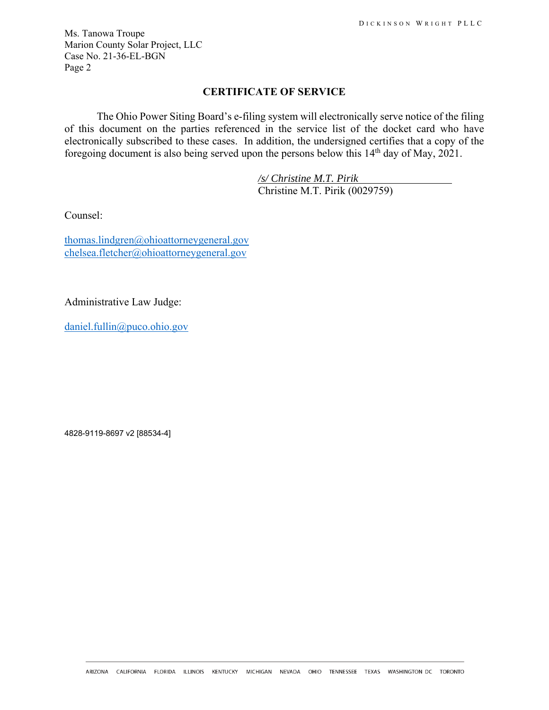Ms. Tanowa Troupe Marion County Solar Project, LLC Case No. 21-36-EL-BGN Page 2

## **CERTIFICATE OF SERVICE**

The Ohio Power Siting Board's e-filing system will electronically serve notice of the filing of this document on the parties referenced in the service list of the docket card who have electronically subscribed to these cases. In addition, the undersigned certifies that a copy of the foregoing document is also being served upon the persons below this 14th day of May, 2021.

> */s/ Christine M.T. Pirik*  Christine M.T. Pirik (0029759)

Counsel:

thomas.lindgren@ohioattorneygeneral.gov chelsea.fletcher@ohioattorneygeneral.gov

Administrative Law Judge:

daniel.fullin@puco.ohio.gov

4828-9119-8697 v2 [88534-4]